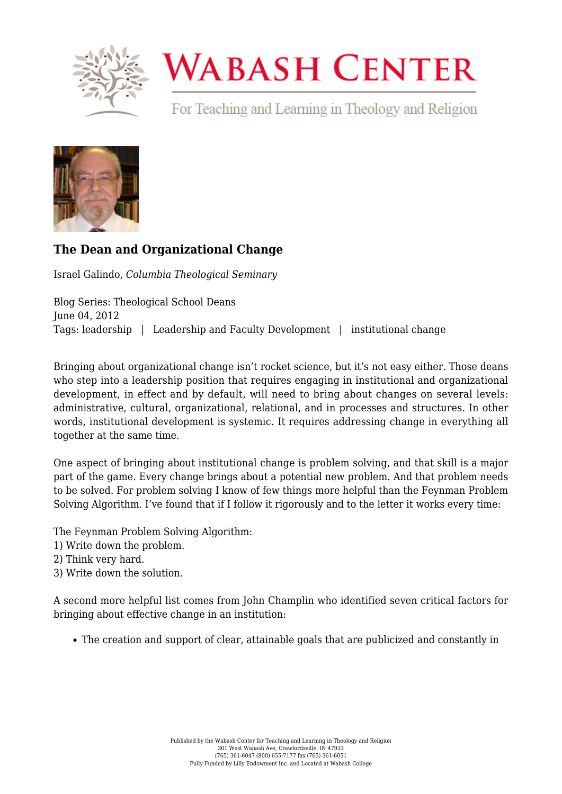

## **WABASH CENTER**

For Teaching and Learning in Theology and Religion



## **[The Dean and Organizational Change](https://www.wabashcenter.wabash.edu/2012/06/the-dean-and-organizational-change/)**

Israel Galindo, *Columbia Theological Seminary*

Blog Series: Theological School Deans June 04, 2012 Tags: leadership | Leadership and Faculty Development | institutional change

Bringing about organizational change isn't rocket science, but it's not easy either. Those deans who step into a leadership position that requires engaging in institutional and organizational development, in effect and by default, will need to bring about changes on several levels: administrative, cultural, organizational, relational, and in processes and structures. In other words, institutional development is systemic. It requires addressing change in everything all together at the same time.

One aspect of bringing about institutional change is problem solving, and that skill is a major part of the game. Every change brings about a potential new problem. And that problem needs to be solved. For problem solving I know of few things more helpful than the Feynman Problem Solving Algorithm. I've found that if I follow it rigorously and to the letter it works every time:

The Feynman Problem Solving Algorithm:

- 1) Write down the problem.
- 2) Think very hard.
- 3) Write down the solution.

A second more helpful list comes from John Champlin who identified seven critical factors for bringing about effective change in an institution:

The creation and support of clear, attainable goals that are publicized and constantly in